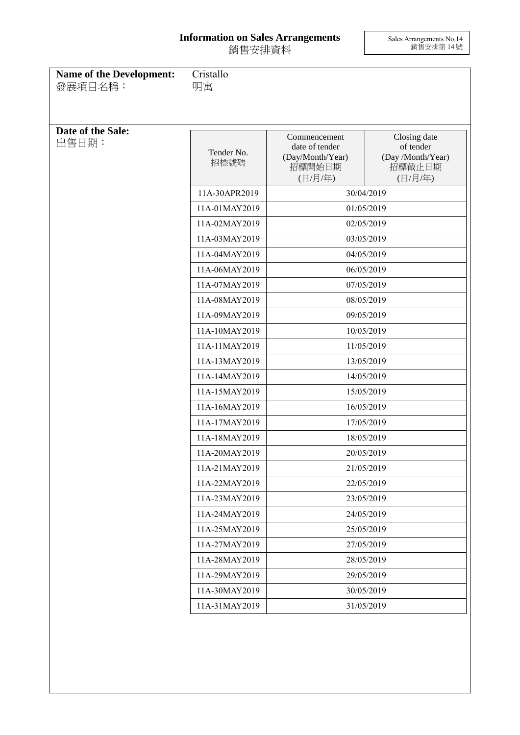## **Information on Sales Arrangements** 銷售安排資料

Sales Arrangements No.14 銷售安排第 14 號

| <b>Name of the Development:</b><br>發展項目名稱: | Cristallo<br>明寓                     |                                                                         |                                                                                   |
|--------------------------------------------|-------------------------------------|-------------------------------------------------------------------------|-----------------------------------------------------------------------------------|
| Date of the Sale:<br>出售日期:                 | Tender No.<br>招標號碼<br>11A-30APR2019 | Commencement<br>date of tender<br>(Day/Month/Year)<br>招標開始日期<br>(日/月/年) | Closing date<br>of tender<br>(Day /Month/Year)<br>招標截止日期<br>(日/月/年)<br>30/04/2019 |
|                                            | 11A-01MAY2019                       |                                                                         | 01/05/2019                                                                        |
|                                            | 11A-02MAY2019                       |                                                                         | 02/05/2019                                                                        |
|                                            | 11A-03MAY2019                       |                                                                         | 03/05/2019                                                                        |
|                                            | 11A-04MAY2019                       |                                                                         | 04/05/2019                                                                        |
|                                            | 11A-06MAY2019                       |                                                                         | 06/05/2019                                                                        |
|                                            | 11A-07MAY2019                       |                                                                         | 07/05/2019                                                                        |
|                                            | 11A-08MAY2019                       |                                                                         | 08/05/2019                                                                        |
|                                            | 11A-09MAY2019                       |                                                                         | 09/05/2019                                                                        |
|                                            | 11A-10MAY2019                       |                                                                         | 10/05/2019                                                                        |
|                                            | 11A-11MAY2019                       | 11/05/2019<br>13/05/2019                                                |                                                                                   |
|                                            | 11A-13MAY2019                       |                                                                         |                                                                                   |
|                                            | 11A-14MAY2019                       | 14/05/2019                                                              |                                                                                   |
|                                            | 11A-15MAY2019                       | 15/05/2019                                                              |                                                                                   |
|                                            | 11A-16MAY2019                       | 16/05/2019                                                              |                                                                                   |
|                                            | 11A-17MAY2019                       | 17/05/2019                                                              |                                                                                   |
|                                            | 11A-18MAY2019                       | 18/05/2019                                                              |                                                                                   |
|                                            | 11A-20MAY2019                       | 20/05/2019                                                              |                                                                                   |
|                                            | 11A-21MAY2019                       |                                                                         | 21/05/2019                                                                        |
|                                            | 11A-22MAY2019                       |                                                                         | 22/05/2019                                                                        |
|                                            | 11A-23MAY2019                       |                                                                         | 23/05/2019                                                                        |
|                                            | 11A-24MAY2019                       |                                                                         | 24/05/2019                                                                        |
|                                            | 11A-25MAY2019                       |                                                                         | 25/05/2019                                                                        |
|                                            | 11A-27MAY2019                       |                                                                         | 27/05/2019                                                                        |
|                                            | 11A-28MAY2019                       |                                                                         | 28/05/2019                                                                        |
|                                            | 11A-29MAY2019                       |                                                                         | 29/05/2019                                                                        |
|                                            | 11A-30MAY2019                       |                                                                         | 30/05/2019                                                                        |
|                                            | 11A-31MAY2019                       |                                                                         | 31/05/2019                                                                        |
|                                            |                                     |                                                                         |                                                                                   |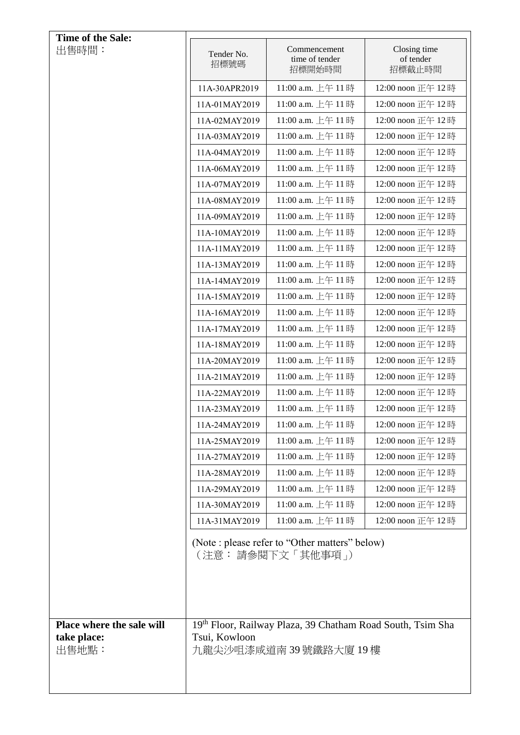| Time of the Sale:                                 |                    |                                                                                                 |                                     |
|---------------------------------------------------|--------------------|-------------------------------------------------------------------------------------------------|-------------------------------------|
| 出售時間:                                             | Tender No.<br>招標號碼 | Commencement<br>time of tender<br>招標開始時間                                                        | Closing time<br>of tender<br>招標截止時間 |
|                                                   | 11A-30APR2019      | 11:00 a.m. 上午 11時                                                                               | 12:00 noon 正午 12時                   |
|                                                   | 11A-01MAY2019      | 11:00 a.m. 上午 11時                                                                               | 12:00 noon 正午 12時                   |
|                                                   | 11A-02MAY2019      | 11:00 a.m. 上午 11時                                                                               | 12:00 noon 正午 12時                   |
|                                                   | 11A-03MAY2019      | 11:00 a.m. 上午 11時                                                                               | 12:00 noon 正午 12時                   |
|                                                   | 11A-04MAY2019      | 11:00 a.m. 上午 11時                                                                               | 12:00 noon 正午 12時                   |
|                                                   | 11A-06MAY2019      | 11:00 a.m. 上午 11時                                                                               | 12:00 noon 正午 12時                   |
|                                                   | 11A-07MAY2019      | 11:00 a.m. 上午 11時                                                                               | 12:00 noon 正午 12時                   |
|                                                   | 11A-08MAY2019      | 11:00 a.m. 上午 11時                                                                               | 12:00 noon 正午 12時                   |
|                                                   | 11A-09MAY2019      | 11:00 a.m. 上午 11時                                                                               | 12:00 noon 正午 12時                   |
|                                                   | 11A-10MAY2019      | 11:00 a.m. 上午 11時                                                                               | 12:00 noon 正午 12時                   |
|                                                   | 11A-11MAY2019      | 11:00 a.m. 上午 11時                                                                               | 12:00 noon 正午 12時                   |
|                                                   | 11A-13MAY2019      | 11:00 a.m. 上午 11時                                                                               | 12:00 noon 正午 12時                   |
|                                                   | 11A-14MAY2019      | 11:00 a.m. 上午 11時                                                                               | 12:00 noon 正午 12時                   |
|                                                   | 11A-15MAY2019      | 11:00 a.m. 上午11時                                                                                | 12:00 noon 正午 12時                   |
|                                                   | 11A-16MAY2019      | 11:00 a.m. 上午 11時                                                                               | 12:00 noon 正午 12時                   |
|                                                   | 11A-17MAY2019      | 11:00 a.m. 上午 11時                                                                               | 12:00 noon 正午 12時                   |
|                                                   | 11A-18MAY2019      | 11:00 a.m. 上午 11時                                                                               | 12:00 noon 正午 12時                   |
|                                                   | 11A-20MAY2019      | 11:00 a.m. 上午 11時                                                                               | 12:00 noon 正午 12時                   |
|                                                   | 11A-21MAY2019      | 11:00 a.m. 上午 11時                                                                               | 12:00 noon 正午 12時                   |
|                                                   | 11A-22MAY2019      | 11:00 a.m. 上午 11時                                                                               | 12:00 noon 正午 12時                   |
|                                                   | 11A-23MAY2019      | 11:00 a.m. 上午 11時                                                                               | 12:00 noon 正午 12時                   |
|                                                   | 11A-24MAY2019      | 11:00 a.m. 上午 11 時                                                                              | 12:00 noon 正午 12 時                  |
|                                                   | 11A-25MAY2019      | 11:00 a.m. 上午11時                                                                                | 12:00 noon 正午 12時                   |
|                                                   | 11A-27MAY2019      | 11:00 a.m. 上午 11時                                                                               | 12:00 noon 正午 12時                   |
|                                                   | 11A-28MAY2019      | 11:00 a.m. 上午 11時                                                                               | 12:00 noon 正午 12時                   |
|                                                   | 11A-29MAY2019      | 11:00 a.m. 上午 11時                                                                               | 12:00 noon 正午 12時                   |
|                                                   | 11A-30MAY2019      | 11:00 a.m. 上午 11時                                                                               | 12:00 noon 正午 12時                   |
|                                                   | 11A-31MAY2019      | 11:00 a.m. 上午 11時                                                                               | 12:00 noon 正午 12時                   |
|                                                   |                    | (Note : please refer to "Other matters" below)<br>(注意: 請參閱下文「其他事項」)                             |                                     |
| Place where the sale will<br>take place:<br>出售地點: | Tsui, Kowloon      | 19 <sup>th</sup> Floor, Railway Plaza, 39 Chatham Road South, Tsim Sha<br>九龍尖沙咀漆咸道南 39號鐵路大廈 19樓 |                                     |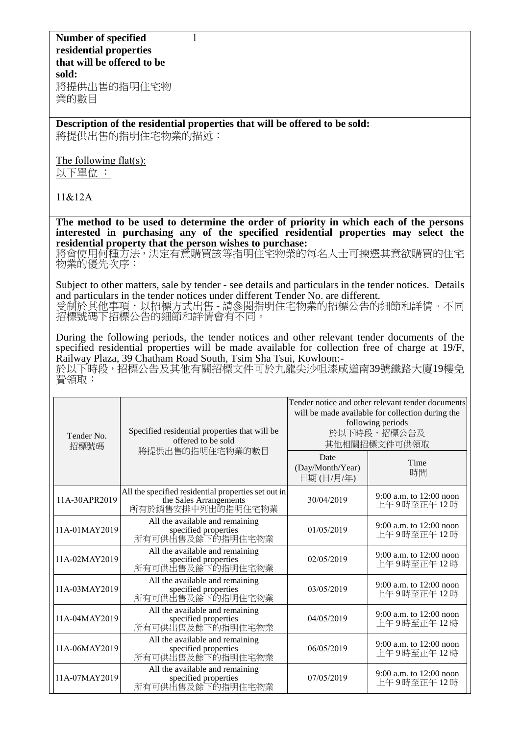| <b>Number of specified</b><br>residential properties<br>that will be offered to be<br>sold:<br>將提供出售的指明住宅物<br>業的數目                                                                                                                                                                                                   |                  | 1                                                                                                                                                                                                                                                                                   |                                                                                                                                                           |                                        |
|----------------------------------------------------------------------------------------------------------------------------------------------------------------------------------------------------------------------------------------------------------------------------------------------------------------------|------------------|-------------------------------------------------------------------------------------------------------------------------------------------------------------------------------------------------------------------------------------------------------------------------------------|-----------------------------------------------------------------------------------------------------------------------------------------------------------|----------------------------------------|
|                                                                                                                                                                                                                                                                                                                      | 將提供出售的指明住宅物業的描述: | Description of the residential properties that will be offered to be sold:                                                                                                                                                                                                          |                                                                                                                                                           |                                        |
| The following flat(s):<br>以下單位 :                                                                                                                                                                                                                                                                                     |                  |                                                                                                                                                                                                                                                                                     |                                                                                                                                                           |                                        |
| 11&812A                                                                                                                                                                                                                                                                                                              |                  |                                                                                                                                                                                                                                                                                     |                                                                                                                                                           |                                        |
| 物業的優先次序:                                                                                                                                                                                                                                                                                                             |                  | The method to be used to determine the order of priority in which each of the persons<br>interested in purchasing any of the specified residential properties may select the<br>residential property that the person wishes to purchase:<br>將會使用何種方法,決定有意購買該等指明住宅物業的每名人士可揀選其意欲購買的住宅 |                                                                                                                                                           |                                        |
|                                                                                                                                                                                                                                                                                                                      |                  | Subject to other matters, sale by tender - see details and particulars in the tender notices. Details<br>and particulars in the tender notices under different Tender No. are different.<br>受制於其他事項,以招標方式出售-請參閱指明住宅物業的招標公告的細節和詳情。不同<br>招標號碼下招標公告的細節和詳情會有不同。                         |                                                                                                                                                           |                                        |
| During the following periods, the tender notices and other relevant tender documents of the<br>specified residential properties will be made available for collection free of charge at 19/F,<br>Railway Plaza, 39 Chatham Road South, Tsim Sha Tsui, Kowloon:-<br>於以下時段,招標公告及其他有關招標文件可於九龍尖沙咀漆咸道南39號鐵路大廈19樓免<br>費領取: |                  |                                                                                                                                                                                                                                                                                     |                                                                                                                                                           |                                        |
| Tender No.<br>招標號碼                                                                                                                                                                                                                                                                                                   |                  | Specified residential properties that will be<br>offered to be sold<br>將提供出售的指明住宅物業的數目                                                                                                                                                                                              | Tender notice and other relevant tender documents<br>will be made available for collection during the<br>following periods<br>於以下時段,招標公告及<br>其他相關招標文件可供領取 |                                        |
|                                                                                                                                                                                                                                                                                                                      |                  |                                                                                                                                                                                                                                                                                     | Date<br>(Day/Month/Year)<br>日期(日/月/年)                                                                                                                     | Time<br>時間                             |
| 11A-30APR2019                                                                                                                                                                                                                                                                                                        |                  | All the specified residential properties set out in<br>the Sales Arrangements<br>所有於銷售安排中列出的指明住宅物業                                                                                                                                                                                  | 30/04/2019                                                                                                                                                | 9:00 a.m. to 12:00 noon<br>上午9時至正午 12時 |
| 11A-01MAY2019                                                                                                                                                                                                                                                                                                        |                  | All the available and remaining<br>specified properties<br>所有可供出售及餘下的指明住宅物業                                                                                                                                                                                                         | 01/05/2019                                                                                                                                                | 9:00 a.m. to 12:00 noon<br>上午9時至正午12時  |
| 11A-02MAY2019                                                                                                                                                                                                                                                                                                        |                  | All the available and remaining<br>specified properties<br>所有可供出售及餘下的指明住宅物業                                                                                                                                                                                                         | 02/05/2019                                                                                                                                                | 9:00 a.m. to 12:00 noon<br>上午9時至正午 12時 |
| 11A-03MAY2019                                                                                                                                                                                                                                                                                                        |                  | All the available and remaining<br>specified properties<br>所有可供出售及餘下的指明住宅物業                                                                                                                                                                                                         | 03/05/2019                                                                                                                                                | 9:00 a.m. to 12:00 noon<br>上午9時至正午 12時 |
| 11A-04MAY2019                                                                                                                                                                                                                                                                                                        |                  | All the available and remaining<br>specified properties<br>所有可供出售及餘下的指明住宅物業                                                                                                                                                                                                         | 04/05/2019                                                                                                                                                | 9:00 a.m. to 12:00 noon<br>上午9時至正午12時  |
| 11A-06MAY2019                                                                                                                                                                                                                                                                                                        |                  | All the available and remaining<br>specified properties<br>所有可供出售及餘下的指明住宅物業                                                                                                                                                                                                         | 06/05/2019                                                                                                                                                | 9:00 a.m. to 12:00 noon<br>上午9時至正午 12時 |
| 11A-07MAY2019                                                                                                                                                                                                                                                                                                        |                  | All the available and remaining<br>specified properties<br>所有可供出售及餘下的指明住宅物業                                                                                                                                                                                                         | 07/05/2019                                                                                                                                                | 9:00 a.m. to 12:00 noon<br>上午9時至正午12時  |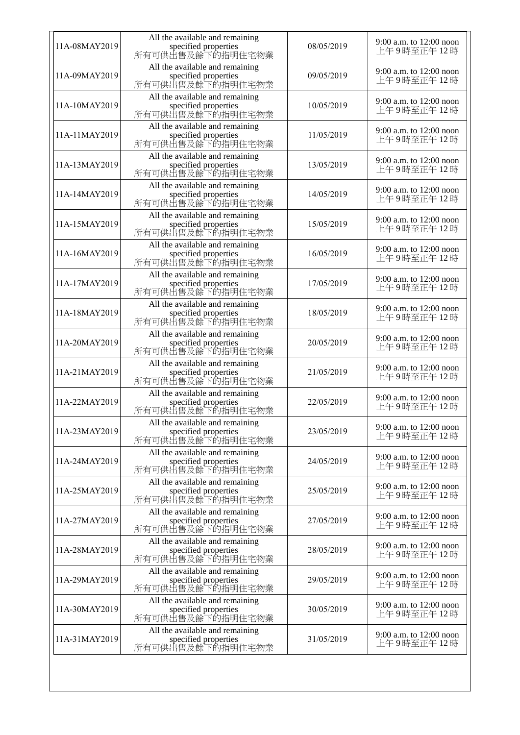| 11A-08MAY2019 | All the available and remaining<br>specified properties<br>所有可供出售及餘下的指明住宅物業 | 08/05/2019 | 9:00 a.m. to 12:00 noon<br>上午9時至正午12時   |
|---------------|-----------------------------------------------------------------------------|------------|-----------------------------------------|
| 11A-09MAY2019 | All the available and remaining<br>specified properties<br>所有可供出售及餘下的指明住宅物業 | 09/05/2019 | 9:00 a.m. to 12:00 noon<br>上午9時至正午12時   |
| 11A-10MAY2019 | All the available and remaining<br>specified properties<br>所有可供出售及餘下的指明住宅物業 | 10/05/2019 | 9:00 a.m. to 12:00 noon<br>上午9時至正午12時   |
| 11A-11MAY2019 | All the available and remaining<br>specified properties<br>所有可供出售及餘下的指明住宅物業 | 11/05/2019 | 9:00 a.m. to 12:00 noon<br>上午9時至正午12時   |
| 11A-13MAY2019 | All the available and remaining<br>specified properties<br>所有可供出售及餘下的指明住宅物業 | 13/05/2019 | 9:00 a.m. to 12:00 noon<br>上午9時至正午12時   |
| 11A-14MAY2019 | All the available and remaining<br>specified properties<br>所有可供出售及餘下的指明住宅物業 | 14/05/2019 | 9:00 a.m. to $12:00$ noon<br>上午9時至正午12時 |
| 11A-15MAY2019 | All the available and remaining<br>specified properties<br>所有可供出售及餘下的指明住宅物業 | 15/05/2019 | 9:00 a.m. to 12:00 noon<br>上午9時至正午12時   |
| 11A-16MAY2019 | All the available and remaining<br>specified properties<br>所有可供出售及餘下的指明住宅物業 | 16/05/2019 | 9:00 a.m. to 12:00 noon<br>上午9時至正午12時   |
| 11A-17MAY2019 | All the available and remaining<br>specified properties<br>所有可供出售及餘下的指明住宅物業 | 17/05/2019 | 9:00 a.m. to 12:00 noon<br>上午9時至正午12時   |
| 11A-18MAY2019 | All the available and remaining<br>specified properties<br>所有可供出售及餘下的指明住宅物業 | 18/05/2019 | 9:00 a.m. to 12:00 noon<br>上午9時至正午12時   |
| 11A-20MAY2019 | All the available and remaining<br>specified properties<br>所有可供出售及餘下的指明住宅物業 | 20/05/2019 | 9:00 a.m. to 12:00 noon<br>上午9時至正午12時   |
| 11A-21MAY2019 | All the available and remaining<br>specified properties<br>所有可供出售及餘下的指明住宅物業 | 21/05/2019 | 9:00 a.m. to 12:00 noon<br>上午9時至正午12時   |
| 11A-22MAY2019 | All the available and remaining<br>specified properties<br>所有可供出售及餘下的指明住宅物業 | 22/05/2019 | 9:00 a.m. to 12:00 noon<br>上午9時至正午12時   |
| 11A-23MAY2019 | All the available and remaining<br>specified properties<br>所有可供出售及餘下的指明住宅物業 | 23/05/2019 | 9:00 a.m. to 12:00 noon<br>上午9時至正午12時   |
| 11A-24MAY2019 | All the available and remaining<br>specified properties<br>所有可供出售及餘下的指明住宅物業 | 24/05/2019 | 9:00 a.m. to $12:00$ noon<br>上午9時至正午12時 |
| 11A-25MAY2019 | All the available and remaining<br>specified properties<br>所有可供出售及餘下的指明住宅物業 | 25/05/2019 | 9:00 a.m. to 12:00 noon<br>上午9時至正午12時   |
| 11A-27MAY2019 | All the available and remaining<br>specified properties<br>所有可供出售及餘下的指明住宅物業 | 27/05/2019 | 9:00 a.m. to 12:00 noon<br>上午9時至正午12時   |
| 11A-28MAY2019 | All the available and remaining<br>specified properties<br>所有可供出售及餘下的指明住宅物業 | 28/05/2019 | 9:00 a.m. to 12:00 noon<br>上午9時至正午12時   |
| 11A-29MAY2019 | All the available and remaining<br>specified properties<br>所有可供出售及餘下的指明住宅物業 | 29/05/2019 | 9:00 a.m. to 12:00 noon<br>上午9時至正午12時   |
| 11A-30MAY2019 | All the available and remaining<br>specified properties<br>所有可供出售及餘下的指明住宅物業 | 30/05/2019 | 9:00 a.m. to 12:00 noon<br>上午9時至正午12時   |
| 11A-31MAY2019 | All the available and remaining<br>specified properties<br>所有可供出售及餘下的指明住宅物業 | 31/05/2019 | 9:00 a.m. to $12:00$ noon<br>上午9時至正午12時 |